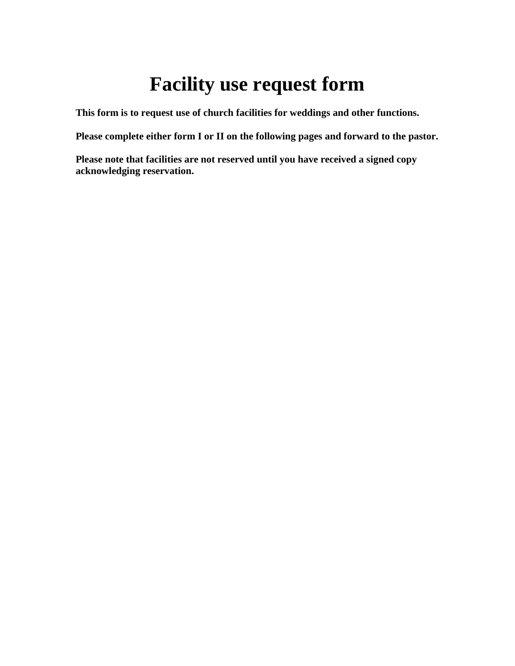## **Facility use request form**

**This form is to request use of church facilities for weddings and other functions.**

**Please complete either form I or II on the following pages and forward to the pastor.** 

**Please note that facilities are not reserved until you have received a signed copy acknowledging reservation.**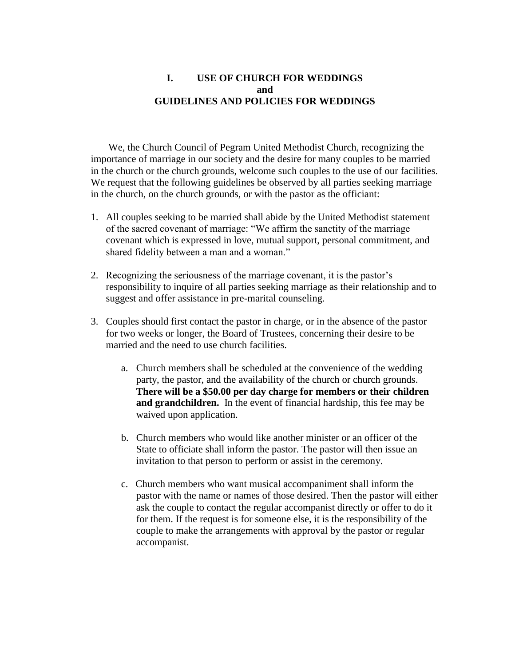## **I. USE OF CHURCH FOR WEDDINGS and GUIDELINES AND POLICIES FOR WEDDINGS**

 We, the Church Council of Pegram United Methodist Church, recognizing the importance of marriage in our society and the desire for many couples to be married in the church or the church grounds, welcome such couples to the use of our facilities. We request that the following guidelines be observed by all parties seeking marriage in the church, on the church grounds, or with the pastor as the officiant:

- 1. All couples seeking to be married shall abide by the United Methodist statement of the sacred covenant of marriage: "We affirm the sanctity of the marriage covenant which is expressed in love, mutual support, personal commitment, and shared fidelity between a man and a woman."
- 2. Recognizing the seriousness of the marriage covenant, it is the pastor's responsibility to inquire of all parties seeking marriage as their relationship and to suggest and offer assistance in pre-marital counseling.
- 3. Couples should first contact the pastor in charge, or in the absence of the pastor for two weeks or longer, the Board of Trustees, concerning their desire to be married and the need to use church facilities.
	- a. Church members shall be scheduled at the convenience of the wedding party, the pastor, and the availability of the church or church grounds. **There will be a \$50.00 per day charge for members or their children and grandchildren.** In the event of financial hardship, this fee may be waived upon application.
	- b. Church members who would like another minister or an officer of the State to officiate shall inform the pastor. The pastor will then issue an invitation to that person to perform or assist in the ceremony.
	- c. Church members who want musical accompaniment shall inform the pastor with the name or names of those desired. Then the pastor will either ask the couple to contact the regular accompanist directly or offer to do it for them. If the request is for someone else, it is the responsibility of the couple to make the arrangements with approval by the pastor or regular accompanist.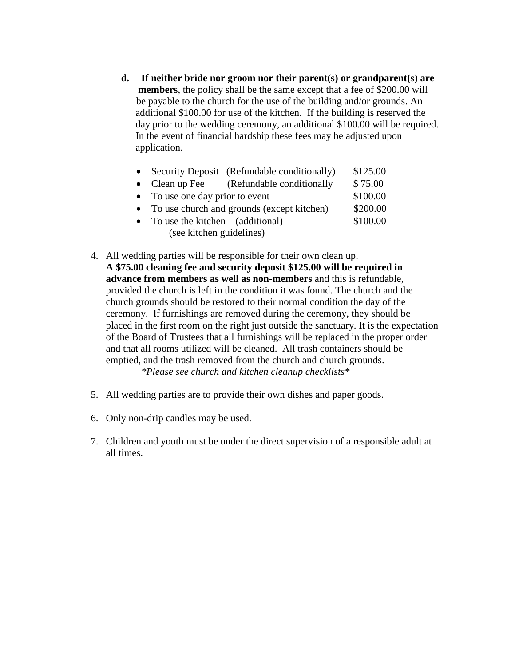**d. If neither bride nor groom nor their parent(s) or grandparent(s) are members**, the policy shall be the same except that a fee of \$200.00 will be payable to the church for the use of the building and/or grounds. An additional \$100.00 for use of the kitchen. If the building is reserved the day prior to the wedding ceremony, an additional \$100.00 will be required. In the event of financial hardship these fees may be adjusted upon application.

|                          |                                              | • Security Deposit (Refundable conditionally) | \$125.00 |  |  |
|--------------------------|----------------------------------------------|-----------------------------------------------|----------|--|--|
|                          |                                              | • Clean up Fee (Refundable conditionally      | \$75.00  |  |  |
|                          | • To use one day prior to event              | \$100.00                                      |          |  |  |
|                          | • To use church and grounds (except kitchen) | \$200.00                                      |          |  |  |
|                          | • To use the kitchen (additional)            |                                               | \$100.00 |  |  |
| (see kitchen guidelines) |                                              |                                               |          |  |  |

- 4. All wedding parties will be responsible for their own clean up. **A \$75.00 cleaning fee and security deposit \$125.00 will be required in advance from members as well as non-members** and this is refundable, provided the church is left in the condition it was found. The church and the church grounds should be restored to their normal condition the day of the ceremony. If furnishings are removed during the ceremony, they should be placed in the first room on the right just outside the sanctuary. It is the expectation of the Board of Trustees that all furnishings will be replaced in the proper order and that all rooms utilized will be cleaned. All trash containers should be emptied, and the trash removed from the church and church grounds.  *\*Please see church and kitchen cleanup checklists\**
- 5. All wedding parties are to provide their own dishes and paper goods.
- 6. Only non-drip candles may be used.
- 7. Children and youth must be under the direct supervision of a responsible adult at all times.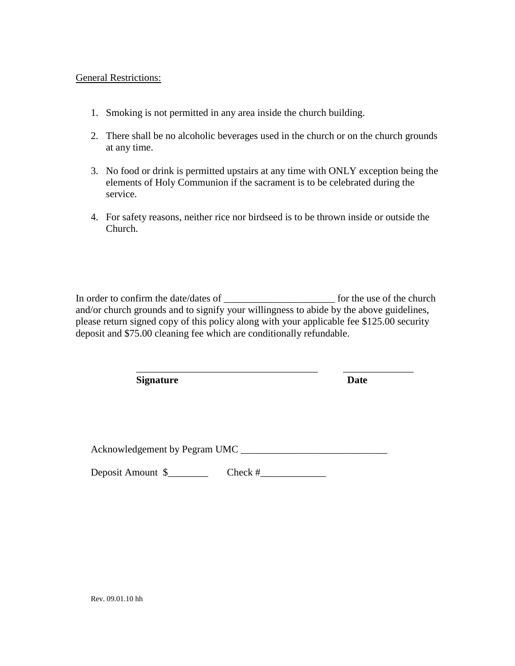General Restrictions:

- 1. Smoking is not permitted in any area inside the church building.
- 2. There shall be no alcoholic beverages used in the church or on the church grounds at any time.
- 3. No food or drink is permitted upstairs at any time with ONLY exception being the elements of Holy Communion if the sacrament is to be celebrated during the service.
- 4. For safety reasons, neither rice nor birdseed is to be thrown inside or outside the Church.

In order to confirm the date/dates of \_\_\_\_\_\_\_\_\_\_\_\_\_\_\_\_\_\_\_\_\_\_ for the use of the church and/or church grounds and to signify your willingness to abide by the above guidelines, please return signed copy of this policy along with your applicable fee \$125.00 security deposit and \$75.00 cleaning fee which are conditionally refundable.

\_\_\_\_\_\_\_\_\_\_\_\_\_\_\_\_\_\_\_\_\_\_\_\_\_\_\_\_\_\_\_\_\_\_\_\_ \_\_\_\_\_\_\_\_\_\_\_\_\_\_

| <b>Signature</b>              |           | <b>Date</b> |  |  |  |  |  |
|-------------------------------|-----------|-------------|--|--|--|--|--|
|                               |           |             |  |  |  |  |  |
|                               |           |             |  |  |  |  |  |
|                               |           |             |  |  |  |  |  |
| Acknowledgement by Pegram UMC |           |             |  |  |  |  |  |
| Deposit Amount \$             | Check $#$ |             |  |  |  |  |  |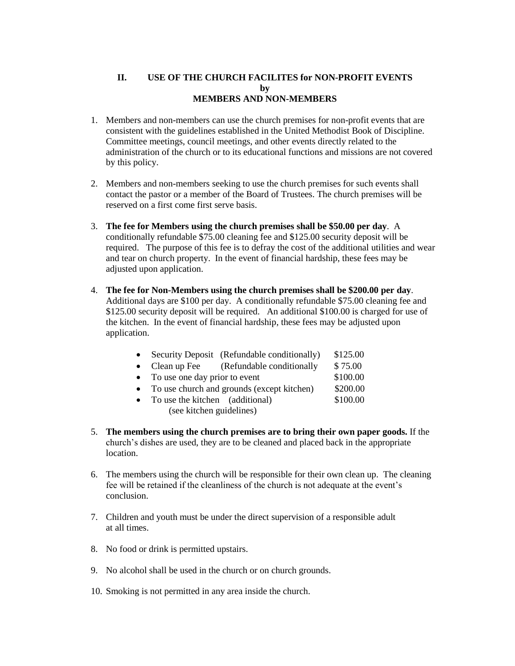## **II. USE OF THE CHURCH FACILITES for NON-PROFIT EVENTS by MEMBERS AND NON-MEMBERS**

- 1. Members and non-members can use the church premises for non-profit events that are consistent with the guidelines established in the United Methodist Book of Discipline. Committee meetings, council meetings, and other events directly related to the administration of the church or to its educational functions and missions are not covered by this policy.
- 2. Members and non-members seeking to use the church premises for such events shall contact the pastor or a member of the Board of Trustees. The church premises will be reserved on a first come first serve basis.
- 3. **The fee for Members using the church premises shall be \$50.00 per day**. A conditionally refundable \$75.00 cleaning fee and \$125.00 security deposit will be required. The purpose of this fee is to defray the cost of the additional utilities and wear and tear on church property. In the event of financial hardship, these fees may be adjusted upon application.
- 4. **The fee for Non-Members using the church premises shall be \$200.00 per day**. Additional days are \$100 per day. A conditionally refundable \$75.00 cleaning fee and \$125.00 security deposit will be required. An additional \$100.00 is charged for use of the kitchen. In the event of financial hardship, these fees may be adjusted upon application.

| Security Deposit (Refundable conditionally) |               |  |  | \$125.00               |  |
|---------------------------------------------|---------------|--|--|------------------------|--|
|                                             | $\sim$ $\sim$ |  |  | $\qquad \qquad \wedge$ |  |

- Clean up Fee (Refundable conditionally \$75.00)
- To use one day prior to event \$100.00
- To use church and grounds (except kitchen) \$200.00
- To use the kitchen (additional) \$100.00
	- (see kitchen guidelines)
- 5. **The members using the church premises are to bring their own paper goods.** If the church's dishes are used, they are to be cleaned and placed back in the appropriate location.
- 6. The members using the church will be responsible for their own clean up. The cleaning fee will be retained if the cleanliness of the church is not adequate at the event's conclusion.
- 7. Children and youth must be under the direct supervision of a responsible adult at all times.
- 8. No food or drink is permitted upstairs.
- 9. No alcohol shall be used in the church or on church grounds.
- 10. Smoking is not permitted in any area inside the church.